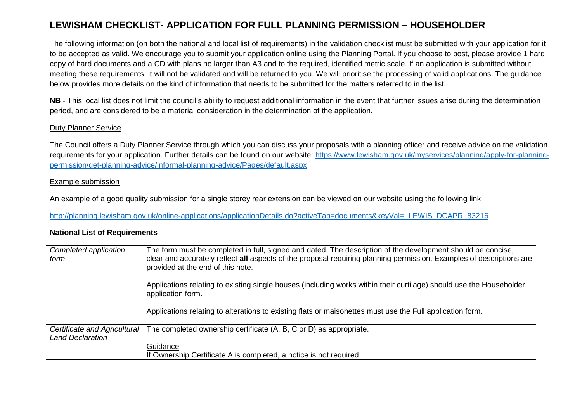# **LEWISHAM CHECKLIST- APPLICATION FOR FULL PLANNING PERMISSION – HOUSEHOLDER**

The following information (on both the national and local list of requirements) in the validation checklist must be submitted with your application for it to be accepted as valid. We encourage you to submit your application online using the Planning Portal. If you choose to post, please provide 1 hard copy of hard documents and a CD with plans no larger than A3 and to the required, identified metric scale. If an application is submitted without meeting these requirements, it will not be validated and will be returned to you. We will prioritise the processing of valid applications. The guidance below provides more details on the kind of information that needs to be submitted for the matters referred to in the list.

**NB** - This local list does not limit the council's ability to request additional information in the event that further issues arise during the determination period, and are considered to be a material consideration in the determination of the application.

### Duty Planner Service

The Council offers a Duty Planner Service through which you can discuss your proposals with a planning officer and receive advice on the validation requirements for your application. Further details can be found on our website: https://www.lewisham.gov.uk/myservices/planning/apply-for-planningpermission/get-planning-advice/informal-planning-advice/Pages/default.aspx

### Example submission

An example of a good quality submission for a single storey rear extension can be viewed on our website using the following link:

http://planning.lewisham.gov.uk/online-applications/applicationDetails.do?activeTab=documents&keyVal=\_LEWIS\_DCAPR\_83216

#### **National List of Requirements**

| Completed application<br>form                           | The form must be completed in full, signed and dated. The description of the development should be concise,<br>clear and accurately reflect all aspects of the proposal requiring planning permission. Examples of descriptions are<br>provided at the end of this note. |
|---------------------------------------------------------|--------------------------------------------------------------------------------------------------------------------------------------------------------------------------------------------------------------------------------------------------------------------------|
|                                                         | Applications relating to existing single houses (including works within their curtilage) should use the Householder<br>application form.                                                                                                                                 |
|                                                         | Applications relating to alterations to existing flats or maisonettes must use the Full application form.                                                                                                                                                                |
| Certificate and Agricultural<br><b>Land Declaration</b> | The completed ownership certificate (A, B, C or D) as appropriate.                                                                                                                                                                                                       |
|                                                         | Guidance                                                                                                                                                                                                                                                                 |
|                                                         | If Ownership Certificate A is completed, a notice is not required                                                                                                                                                                                                        |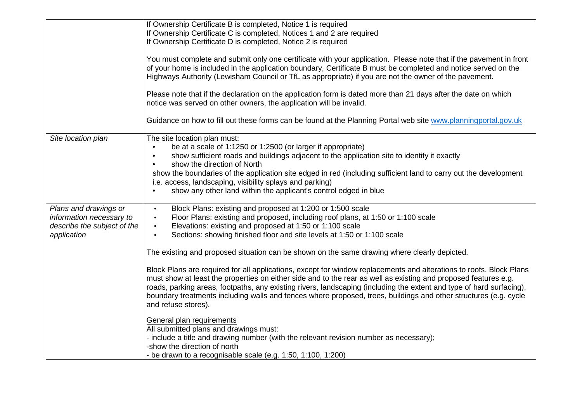|                             | If Ownership Certificate B is completed, Notice 1 is required                                                                           |
|-----------------------------|-----------------------------------------------------------------------------------------------------------------------------------------|
|                             | If Ownership Certificate C is completed, Notices 1 and 2 are required                                                                   |
|                             | If Ownership Certificate D is completed, Notice 2 is required                                                                           |
|                             |                                                                                                                                         |
|                             | You must complete and submit only one certificate with your application. Please note that if the pavement in front                      |
|                             | of your home is included in the application boundary, Certificate B must be completed and notice served on the                          |
|                             | Highways Authority (Lewisham Council or TfL as appropriate) if you are not the owner of the pavement.                                   |
|                             | Please note that if the declaration on the application form is dated more than 21 days after the date on which                          |
|                             | notice was served on other owners, the application will be invalid.                                                                     |
|                             | Guidance on how to fill out these forms can be found at the Planning Portal web site www.planningportal.gov.uk                          |
| Site location plan          | The site location plan must:                                                                                                            |
|                             | be at a scale of 1:1250 or 1:2500 (or larger if appropriate)                                                                            |
|                             | show sufficient roads and buildings adjacent to the application site to identify it exactly                                             |
|                             | show the direction of North                                                                                                             |
|                             | show the boundaries of the application site edged in red (including sufficient land to carry out the development                        |
|                             | i.e. access, landscaping, visibility splays and parking)                                                                                |
|                             | show any other land within the applicant's control edged in blue                                                                        |
|                             |                                                                                                                                         |
| Plans and drawings or       | Block Plans: existing and proposed at 1:200 or 1:500 scale<br>$\bullet$                                                                 |
| information necessary to    | Floor Plans: existing and proposed, including roof plans, at 1:50 or 1:100 scale<br>$\bullet$                                           |
| describe the subject of the | Elevations: existing and proposed at 1:50 or 1:100 scale<br>$\bullet$                                                                   |
| application                 | Sections: showing finished floor and site levels at 1:50 or 1:100 scale<br>$\bullet$                                                    |
|                             |                                                                                                                                         |
|                             | The existing and proposed situation can be shown on the same drawing where clearly depicted.                                            |
|                             |                                                                                                                                         |
|                             | Block Plans are required for all applications, except for window replacements and alterations to roofs. Block Plans                     |
|                             | must show at least the properties on either side and to the rear as well as existing and proposed features e.g.                         |
|                             | roads, parking areas, footpaths, any existing rivers, landscaping (including the extent and type of hard surfacing),                    |
|                             | boundary treatments including walls and fences where proposed, trees, buildings and other structures (e.g. cycle<br>and refuse stores). |
|                             |                                                                                                                                         |
|                             | General plan requirements                                                                                                               |
|                             | All submitted plans and drawings must:                                                                                                  |
|                             | - include a title and drawing number (with the relevant revision number as necessary);                                                  |
|                             | -show the direction of north                                                                                                            |
|                             | - be drawn to a recognisable scale (e.g. 1:50, 1:100, 1:200)                                                                            |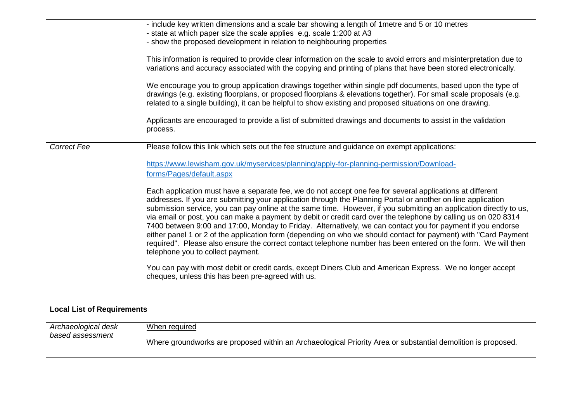|                    | - include key written dimensions and a scale bar showing a length of 1 metre and 5 or 10 metres<br>- state at which paper size the scale applies e.g. scale 1:200 at A3<br>- show the proposed development in relation to neighbouring properties<br>This information is required to provide clear information on the scale to avoid errors and misinterpretation due to<br>variations and accuracy associated with the copying and printing of plans that have been stored electronically.<br>We encourage you to group application drawings together within single pdf documents, based upon the type of<br>drawings (e.g. existing floorplans, or proposed floorplans & elevations together). For small scale proposals (e.g.<br>related to a single building), it can be helpful to show existing and proposed situations on one drawing.                                                                                                                                                                                                                                                                                                                                                  |
|--------------------|------------------------------------------------------------------------------------------------------------------------------------------------------------------------------------------------------------------------------------------------------------------------------------------------------------------------------------------------------------------------------------------------------------------------------------------------------------------------------------------------------------------------------------------------------------------------------------------------------------------------------------------------------------------------------------------------------------------------------------------------------------------------------------------------------------------------------------------------------------------------------------------------------------------------------------------------------------------------------------------------------------------------------------------------------------------------------------------------------------------------------------------------------------------------------------------------|
|                    | Applicants are encouraged to provide a list of submitted drawings and documents to assist in the validation<br>process.                                                                                                                                                                                                                                                                                                                                                                                                                                                                                                                                                                                                                                                                                                                                                                                                                                                                                                                                                                                                                                                                        |
| <b>Correct Fee</b> | Please follow this link which sets out the fee structure and guidance on exempt applications:<br>https://www.lewisham.gov.uk/myservices/planning/apply-for-planning-permission/Download-<br>forms/Pages/default.aspx<br>Each application must have a separate fee, we do not accept one fee for several applications at different<br>addresses. If you are submitting your application through the Planning Portal or another on-line application<br>submission service, you can pay online at the same time. However, if you submitting an application directly to us,<br>via email or post, you can make a payment by debit or credit card over the telephone by calling us on 020 8314<br>7400 between 9:00 and 17:00, Monday to Friday. Alternatively, we can contact you for payment if you endorse<br>either panel 1 or 2 of the application form (depending on who we should contact for payment) with "Card Payment<br>required". Please also ensure the correct contact telephone number has been entered on the form. We will then<br>telephone you to collect payment.<br>You can pay with most debit or credit cards, except Diners Club and American Express. We no longer accept |
|                    | cheques, unless this has been pre-agreed with us.                                                                                                                                                                                                                                                                                                                                                                                                                                                                                                                                                                                                                                                                                                                                                                                                                                                                                                                                                                                                                                                                                                                                              |

## **Local List of Requirements**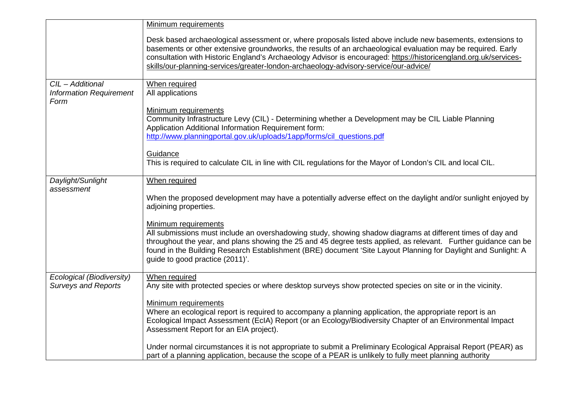|                                                         | <b>Minimum requirements</b>                                                                                                                                                                                                                                                                                                                                                                                                            |
|---------------------------------------------------------|----------------------------------------------------------------------------------------------------------------------------------------------------------------------------------------------------------------------------------------------------------------------------------------------------------------------------------------------------------------------------------------------------------------------------------------|
|                                                         | Desk based archaeological assessment or, where proposals listed above include new basements, extensions to<br>basements or other extensive groundworks, the results of an archaeological evaluation may be required. Early<br>consultation with Historic England's Archaeology Advisor is encouraged: https://historicengland.org.uk/services-<br>skills/our-planning-services/greater-london-archaeology-advisory-service/our-advice/ |
| CIL - Additional                                        | When required                                                                                                                                                                                                                                                                                                                                                                                                                          |
| <b>Information Requirement</b><br>Form                  | All applications                                                                                                                                                                                                                                                                                                                                                                                                                       |
|                                                         | Minimum requirements<br>Community Infrastructure Levy (CIL) - Determining whether a Development may be CIL Liable Planning                                                                                                                                                                                                                                                                                                             |
|                                                         | Application Additional Information Requirement form:<br>http://www.planningportal.gov.uk/uploads/1app/forms/cil_questions.pdf                                                                                                                                                                                                                                                                                                          |
|                                                         |                                                                                                                                                                                                                                                                                                                                                                                                                                        |
|                                                         | Guidance<br>This is required to calculate CIL in line with CIL regulations for the Mayor of London's CIL and local CIL.                                                                                                                                                                                                                                                                                                                |
| Daylight/Sunlight                                       | When required                                                                                                                                                                                                                                                                                                                                                                                                                          |
| assessment                                              | When the proposed development may have a potentially adverse effect on the daylight and/or sunlight enjoyed by<br>adjoining properties.                                                                                                                                                                                                                                                                                                |
|                                                         | <b>Minimum requirements</b><br>All submissions must include an overshadowing study, showing shadow diagrams at different times of day and<br>throughout the year, and plans showing the 25 and 45 degree tests applied, as relevant. Further guidance can be<br>found in the Building Research Establishment (BRE) document 'Site Layout Planning for Daylight and Sunlight: A<br>guide to good practice (2011)'.                      |
| Ecological (Biodiversity)<br><b>Surveys and Reports</b> | When required<br>Any site with protected species or where desktop surveys show protected species on site or in the vicinity.                                                                                                                                                                                                                                                                                                           |
|                                                         | Minimum requirements<br>Where an ecological report is required to accompany a planning application, the appropriate report is an<br>Ecological Impact Assessment (EcIA) Report (or an Ecology/Biodiversity Chapter of an Environmental Impact<br>Assessment Report for an EIA project).                                                                                                                                                |
|                                                         | Under normal circumstances it is not appropriate to submit a Preliminary Ecological Appraisal Report (PEAR) as<br>part of a planning application, because the scope of a PEAR is unlikely to fully meet planning authority                                                                                                                                                                                                             |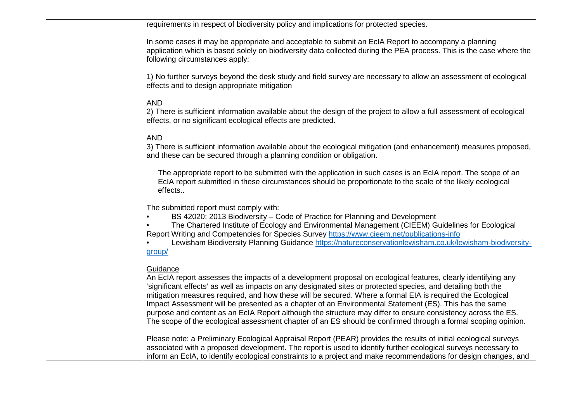requirements in respect of biodiversity policy and implications for protected species.

In some cases it may be appropriate and acceptable to submit an EcIA Report to accompany a planning application which is based solely on biodiversity data collected during the PEA process. This is the case where the following circumstances apply:

1) No further surveys beyond the desk study and field survey are necessary to allow an assessment of ecological effects and to design appropriate mitigation

## AND

 2) There is sufficient information available about the design of the project to allow a full assessment of ecological effects, or no significant ecological effects are predicted.

### AND

 3) There is sufficient information available about the ecological mitigation (and enhancement) measures proposed, and these can be secured through a planning condition or obligation.

The appropriate report to be submitted with the application in such cases is an EcIA report. The scope of an EcIA report submitted in these circumstances should be proportionate to the scale of the likely ecological effects..

The submitted report must comply with:

• BS 42020: 2013 Biodiversity – Code of Practice for Planning and Development

 • The Chartered Institute of Ecology and Environmental Management (CIEEM) Guidelines for Ecological Report Writing and Competencies for Species Survey https://www.cieem.net/publications-info

 • Lewisham Biodiversity Planning Guidance https://natureconservationlewisham.co.uk/lewisham-biodiversitygroup/

### **Guidance**

 An EcIA report assesses the impacts of a development proposal on ecological features, clearly identifying any 'significant effects' as well as impacts on any designated sites or protected species, and detailing both the mitigation measures required, and how these will be secured. Where a formal EIA is required the Ecological Impact Assessment will be presented as a chapter of an Environmental Statement (ES). This has the same purpose and content as an EcIA Report although the structure may differ to ensure consistency across the ES. The scope of the ecological assessment chapter of an ES should be confirmed through a formal scoping opinion.

Please note: a Preliminary Ecological Appraisal Report (PEAR) provides the results of initial ecological surveys associated with a proposed development. The report is used to identify further ecological surveys necessary to inform an EcIA, to identify ecological constraints to a project and make recommendations for design changes, and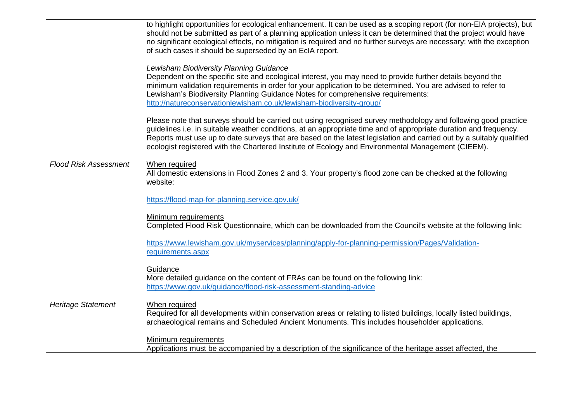|                              | to highlight opportunities for ecological enhancement. It can be used as a scoping report (for non-EIA projects), but<br>should not be submitted as part of a planning application unless it can be determined that the project would have<br>no significant ecological effects, no mitigation is required and no further surveys are necessary; with the exception<br>of such cases it should be superseded by an EcIA report.                                   |
|------------------------------|-------------------------------------------------------------------------------------------------------------------------------------------------------------------------------------------------------------------------------------------------------------------------------------------------------------------------------------------------------------------------------------------------------------------------------------------------------------------|
|                              | Lewisham Biodiversity Planning Guidance<br>Dependent on the specific site and ecological interest, you may need to provide further details beyond the<br>minimum validation requirements in order for your application to be determined. You are advised to refer to<br>Lewisham's Biodiversity Planning Guidance Notes for comprehensive requirements:<br>http://natureconservationlewisham.co.uk/lewisham-biodiversity-group/                                   |
|                              | Please note that surveys should be carried out using recognised survey methodology and following good practice<br>guidelines i.e. in suitable weather conditions, at an appropriate time and of appropriate duration and frequency.<br>Reports must use up to date surveys that are based on the latest legislation and carried out by a suitably qualified<br>ecologist registered with the Chartered Institute of Ecology and Environmental Management (CIEEM). |
| <b>Flood Risk Assessment</b> | When required<br>All domestic extensions in Flood Zones 2 and 3. Your property's flood zone can be checked at the following<br>website:                                                                                                                                                                                                                                                                                                                           |
|                              | https://flood-map-for-planning.service.gov.uk/                                                                                                                                                                                                                                                                                                                                                                                                                    |
|                              | Minimum requirements<br>Completed Flood Risk Questionnaire, which can be downloaded from the Council's website at the following link:                                                                                                                                                                                                                                                                                                                             |
|                              | https://www.lewisham.gov.uk/myservices/planning/apply-for-planning-permission/Pages/Validation-<br>requirements.aspx                                                                                                                                                                                                                                                                                                                                              |
|                              | Guidance<br>More detailed guidance on the content of FRAs can be found on the following link:<br>https://www.gov.uk/guidance/flood-risk-assessment-standing-advice                                                                                                                                                                                                                                                                                                |
| <b>Heritage Statement</b>    | When required<br>Required for all developments within conservation areas or relating to listed buildings, locally listed buildings,<br>archaeological remains and Scheduled Ancient Monuments. This includes householder applications.                                                                                                                                                                                                                            |
|                              | Minimum requirements<br>Applications must be accompanied by a description of the significance of the heritage asset affected, the                                                                                                                                                                                                                                                                                                                                 |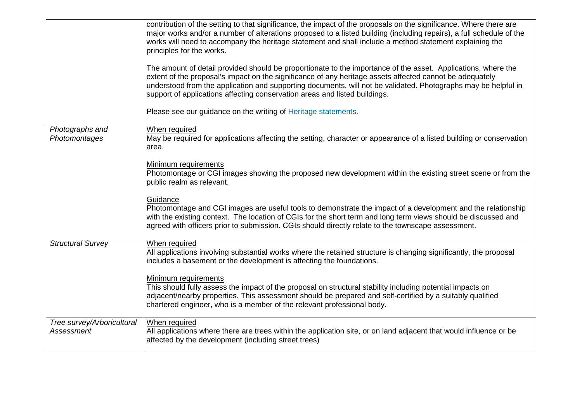|                                                 | contribution of the setting to that significance, the impact of the proposals on the significance. Where there are<br>major works and/or a number of alterations proposed to a listed building (including repairs), a full schedule of the<br>works will need to accompany the heritage statement and shall include a method statement explaining the<br>principles for the works.<br>The amount of detail provided should be proportionate to the importance of the asset. Applications, where the<br>extent of the proposal's impact on the significance of any heritage assets affected cannot be adequately<br>understood from the application and supporting documents, will not be validated. Photographs may be helpful in<br>support of applications affecting conservation areas and listed buildings.<br>Please see our guidance on the writing of Heritage statements. |
|-------------------------------------------------|-----------------------------------------------------------------------------------------------------------------------------------------------------------------------------------------------------------------------------------------------------------------------------------------------------------------------------------------------------------------------------------------------------------------------------------------------------------------------------------------------------------------------------------------------------------------------------------------------------------------------------------------------------------------------------------------------------------------------------------------------------------------------------------------------------------------------------------------------------------------------------------|
| Photographs and                                 | When required                                                                                                                                                                                                                                                                                                                                                                                                                                                                                                                                                                                                                                                                                                                                                                                                                                                                     |
| Photomontages                                   | May be required for applications affecting the setting, character or appearance of a listed building or conservation<br>area.                                                                                                                                                                                                                                                                                                                                                                                                                                                                                                                                                                                                                                                                                                                                                     |
|                                                 | Minimum requirements<br>Photomontage or CGI images showing the proposed new development within the existing street scene or from the<br>public realm as relevant.                                                                                                                                                                                                                                                                                                                                                                                                                                                                                                                                                                                                                                                                                                                 |
|                                                 | Guidance<br>Photomontage and CGI images are useful tools to demonstrate the impact of a development and the relationship<br>with the existing context. The location of CGIs for the short term and long term views should be discussed and<br>agreed with officers prior to submission. CGIs should directly relate to the townscape assessment.                                                                                                                                                                                                                                                                                                                                                                                                                                                                                                                                  |
| <b>Structural Survey</b>                        | When required<br>All applications involving substantial works where the retained structure is changing significantly, the proposal<br>includes a basement or the development is affecting the foundations.                                                                                                                                                                                                                                                                                                                                                                                                                                                                                                                                                                                                                                                                        |
|                                                 | Minimum requirements<br>This should fully assess the impact of the proposal on structural stability including potential impacts on<br>adjacent/nearby properties. This assessment should be prepared and self-certified by a suitably qualified<br>chartered engineer, who is a member of the relevant professional body.                                                                                                                                                                                                                                                                                                                                                                                                                                                                                                                                                         |
| Tree survey/Arboricultural<br><b>Assessment</b> | When required<br>All applications where there are trees within the application site, or on land adjacent that would influence or be<br>affected by the development (including street trees)                                                                                                                                                                                                                                                                                                                                                                                                                                                                                                                                                                                                                                                                                       |